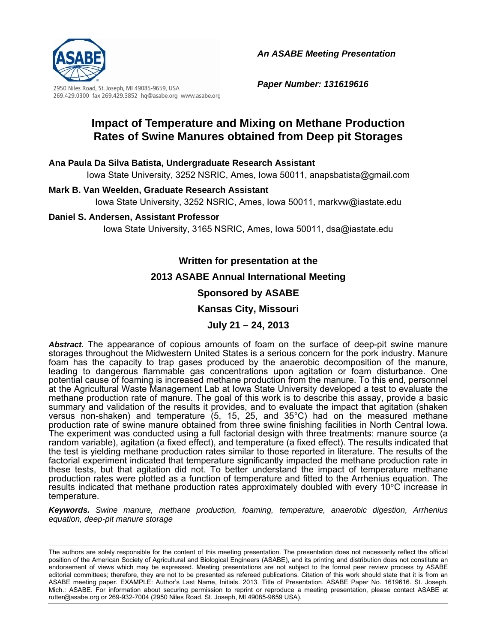



2950 Niles Road, St. Joseph, MI 49085-9659, USA 269.429.0300 fax 269.429.3852 hq@asabe.org www.asabe.org *Paper Number: 131619616* 

# **Impact of Temperature and Mixing on Methane Production Rates of Swine Manures obtained from Deep pit Storages**

## **Ana Paula Da Silva Batista, Undergraduate Research Assistant**

Iowa State University, 3252 NSRIC, Ames, Iowa 50011, anapsbatista@gmail.com

### **Mark B. Van Weelden, Graduate Research Assistant**

Iowa State University, 3252 NSRIC, Ames, Iowa 50011, markvw@iastate.edu

### **Daniel S. Andersen, Assistant Professor**

Iowa State University, 3165 NSRIC, Ames, Iowa 50011, dsa@iastate.edu

## **Written for presentation at the**

## **2013 ASABE Annual International Meeting**

## **Sponsored by ASABE**

## **Kansas City, Missouri**

### **July 21 – 24, 2013**

*Abstract.* The appearance of copious amounts of foam on the surface of deep-pit swine manure storages throughout the Midwestern United States is a serious concern for the pork industry. Manure foam has the capacity to trap gases produced by the anaerobic decomposition of the manure, leading to dangerous flammable gas concentrations upon agitation or foam disturbance. One potential cause of foaming is increased methane production from the manure. To this end, personnel at the Agricultural Waste Management Lab at Iowa State University developed a test to evaluate the methane production rate of manure. The goal of this work is to describe this assay, provide a basic summary and validation of the results it provides, and to evaluate the impact that agitation (shaken versus non-shaken) and temperature (5, 15, 25, and 35°C) had on the measured methane production rate of swine manure obtained from three swine finishing facilities in North Central Iowa. The experiment was conducted using a full factorial design with three treatments: manure source (a random variable), agitation (a fixed effect), and temperature (a fixed effect). The results indicated that the test is yielding methane production rates similar to those reported in literature. The results of the factorial experiment indicated that temperature significantly impacted the methane production rate in these tests, but that agitation did not. To better understand the impact of temperature methane production rates were plotted as a function of temperature and fitted to the Arrhenius equation. The results indicated that methane production rates approximately doubled with every 10°C increase in temperature.

*Keywords. Swine manure, methane production, foaming, temperature, anaerobic digestion, Arrhenius equation, deep-pit manure storage* 

The authors are solely responsible for the content of this meeting presentation. The presentation does not necessarily reflect the official position of the American Society of Agricultural and Biological Engineers (ASABE), and its printing and distribution does not constitute an endorsement of views which may be expressed. Meeting presentations are not subject to the formal peer review process by ASABE editorial committees; therefore, they are not to be presented as refereed publications. Citation of this work should state that it is from an ASABE meeting paper. EXAMPLE: Author's Last Name, Initials. 2013. Title of Presentation. ASABE Paper No. 1619616. St. Joseph, Mich.: ASABE. For information about securing permission to reprint or reproduce a meeting presentation, please contact ASABE at rutter@asabe.org or 269-932-7004 (2950 Niles Road, St. Joseph, MI 49085-9659 USA).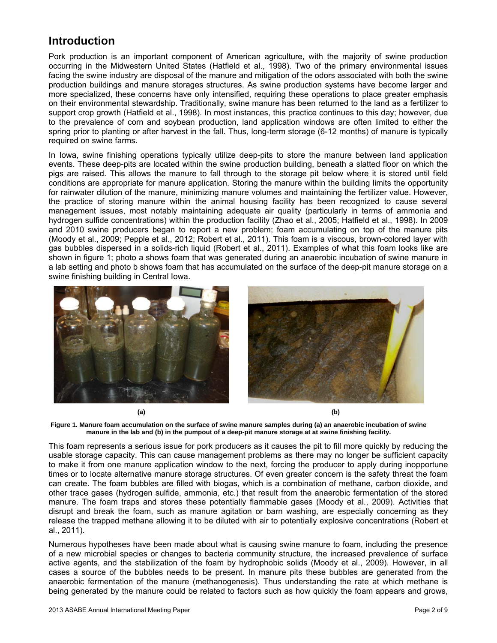## **Introduction**

Pork production is an important component of American agriculture, with the majority of swine production occurring in the Midwestern United States (Hatfield et al., 1998). Two of the primary environmental issues facing the swine industry are disposal of the manure and mitigation of the odors associated with both the swine production buildings and manure storages structures. As swine production systems have become larger and more specialized, these concerns have only intensified, requiring these operations to place greater emphasis on their environmental stewardship. Traditionally, swine manure has been returned to the land as a fertilizer to support crop growth (Hatfield et al., 1998). In most instances, this practice continues to this day; however, due to the prevalence of corn and soybean production, land application windows are often limited to either the spring prior to planting or after harvest in the fall. Thus, long-term storage (6-12 months) of manure is typically required on swine farms.

In Iowa, swine finishing operations typically utilize deep-pits to store the manure between land application events. These deep-pits are located within the swine production building, beneath a slatted floor on which the pigs are raised. This allows the manure to fall through to the storage pit below where it is stored until field conditions are appropriate for manure application. Storing the manure within the building limits the opportunity for rainwater dilution of the manure, minimizing manure volumes and maintaining the fertilizer value. However, the practice of storing manure within the animal housing facility has been recognized to cause several management issues, most notably maintaining adequate air quality (particularly in terms of ammonia and hydrogen sulfide concentrations) within the production facility (Zhao et al., 2005; Hatfield et al., 1998). In 2009 and 2010 swine producers began to report a new problem; foam accumulating on top of the manure pits (Moody et al., 2009; Pepple et al., 2012; Robert et al., 2011). This foam is a viscous, brown-colored layer with gas bubbles dispersed in a solids-rich liquid (Robert et al., 2011). Examples of what this foam looks like are shown in figure 1; photo a shows foam that was generated during an anaerobic incubation of swine manure in a lab setting and photo b shows foam that has accumulated on the surface of the deep-pit manure storage on a swine finishing building in Central Iowa.







**Figure 1. Manure foam accumulation on the surface of swine manure samples during (a) an anaerobic incubation of swine manure in the lab and (b) in the pumpout of a deep-pit manure storage at at swine finishing facility.** 

This foam represents a serious issue for pork producers as it causes the pit to fill more quickly by reducing the usable storage capacity. This can cause management problems as there may no longer be sufficient capacity to make it from one manure application window to the next, forcing the producer to apply during inopportune times or to locate alternative manure storage structures. Of even greater concern is the safety threat the foam can create. The foam bubbles are filled with biogas, which is a combination of methane, carbon dioxide, and other trace gases (hydrogen sulfide, ammonia, etc.) that result from the anaerobic fermentation of the stored manure. The foam traps and stores these potentially flammable gases (Moody et al., 2009). Activities that disrupt and break the foam, such as manure agitation or barn washing, are especially concerning as they release the trapped methane allowing it to be diluted with air to potentially explosive concentrations (Robert et al., 2011).

Numerous hypotheses have been made about what is causing swine manure to foam, including the presence of a new microbial species or changes to bacteria community structure, the increased prevalence of surface active agents, and the stabilization of the foam by hydrophobic solids (Moody et al., 2009). However, in all cases a source of the bubbles needs to be present. In manure pits these bubbles are generated from the anaerobic fermentation of the manure (methanogenesis). Thus understanding the rate at which methane is being generated by the manure could be related to factors such as how quickly the foam appears and grows,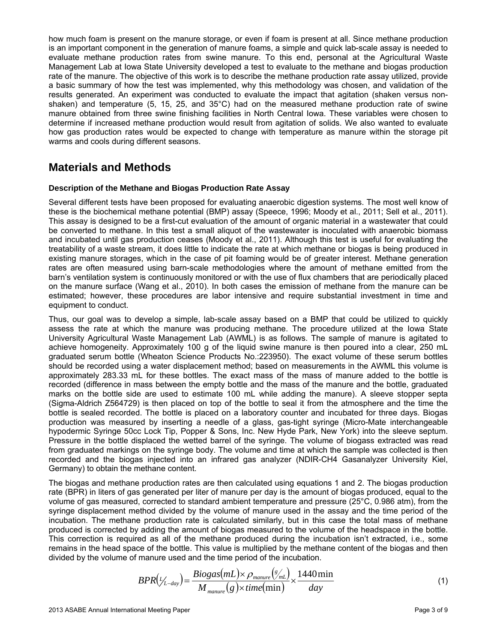how much foam is present on the manure storage, or even if foam is present at all. Since methane production is an important component in the generation of manure foams, a simple and quick lab-scale assay is needed to evaluate methane production rates from swine manure. To this end, personal at the Agricultural Waste Management Lab at Iowa State University developed a test to evaluate to the methane and biogas production rate of the manure. The objective of this work is to describe the methane production rate assay utilized, provide a basic summary of how the test was implemented, why this methodology was chosen, and validation of the results generated. An experiment was conducted to evaluate the impact that agitation (shaken versus nonshaken) and temperature (5, 15, 25, and 35°C) had on the measured methane production rate of swine manure obtained from three swine finishing facilities in North Central Iowa. These variables were chosen to determine if increased methane production would result from agitation of solids. We also wanted to evaluate how gas production rates would be expected to change with temperature as manure within the storage pit warms and cools during different seasons.

## **Materials and Methods**

### **Description of the Methane and Biogas Production Rate Assay**

Several different tests have been proposed for evaluating anaerobic digestion systems. The most well know of these is the biochemical methane potential (BMP) assay (Speece, 1996; Moody et al., 2011; Sell et al., 2011). This assay is designed to be a first-cut evaluation of the amount of organic material in a wastewater that could be converted to methane. In this test a small aliquot of the wastewater is inoculated with anaerobic biomass and incubated until gas production ceases (Moody et al., 2011). Although this test is useful for evaluating the treatability of a waste stream, it does little to indicate the rate at which methane or biogas is being produced in existing manure storages, which in the case of pit foaming would be of greater interest. Methane generation rates are often measured using barn-scale methodologies where the amount of methane emitted from the barn's ventilation system is continuously monitored or with the use of flux chambers that are periodically placed on the manure surface (Wang et al., 2010). In both cases the emission of methane from the manure can be estimated; however, these procedures are labor intensive and require substantial investment in time and equipment to conduct.

Thus, our goal was to develop a simple, lab-scale assay based on a BMP that could be utilized to quickly assess the rate at which the manure was producing methane. The procedure utilized at the Iowa State University Agricultural Waste Management Lab (AWML) is as follows. The sample of manure is agitated to achieve homogeneity. Approximately 100 g of the liquid swine manure is then poured into a clear, 250 mL graduated serum bottle (Wheaton Science Products No.:223950). The exact volume of these serum bottles should be recorded using a water displacement method; based on measurements in the AWML this volume is approximately 283.33 mL for these bottles. The exact mass of the mass of manure added to the bottle is recorded (difference in mass between the empty bottle and the mass of the manure and the bottle, graduated marks on the bottle side are used to estimate 100 mL while adding the manure). A sleeve stopper septa (Sigma-Aldrich Z564729) is then placed on top of the bottle to seal it from the atmosphere and the time the bottle is sealed recorded. The bottle is placed on a laboratory counter and incubated for three days. Biogas production was measured by inserting a needle of a glass, gas-tight syringe (Micro-Mate interchangeable hypodermic Syringe 50cc Lock Tip, Popper & Sons, Inc. New Hyde Park, New York) into the sleeve septum. Pressure in the bottle displaced the wetted barrel of the syringe. The volume of biogass extracted was read from graduated markings on the syringe body. The volume and time at which the sample was collected is then recorded and the biogas injected into an infrared gas analyzer (NDIR-CH4 Gasanalyzer University Kiel, Germany) to obtain the methane content.

The biogas and methane production rates are then calculated using equations 1 and 2. The biogas production rate (BPR) in liters of gas generated per liter of manure per day is the amount of biogas produced, equal to the volume of gas measured, corrected to standard ambient temperature and pressure (25°C, 0.986 atm), from the syringe displacement method divided by the volume of manure used in the assay and the time period of the incubation. The methane production rate is calculated similarly, but in this case the total mass of methane produced is corrected by adding the amount of biogas measured to the volume of the headspace in the bottle. This correction is required as all of the methane produced during the incubation isn't extracted, i.e., some remains in the head space of the bottle. This value is multiplied by the methane content of the biogas and then divided by the volume of manure used and the time period of the incubation.

$$
BPR(\frac{L}{L-\text{day}}) = \frac{Biogas(mL) \times \rho_{\text{manure}}\left(\frac{g}{mL}\right)}{M_{\text{manure}}(g) \times time(\text{min})} \times \frac{1440 \text{min}}{\text{day}}
$$
(1)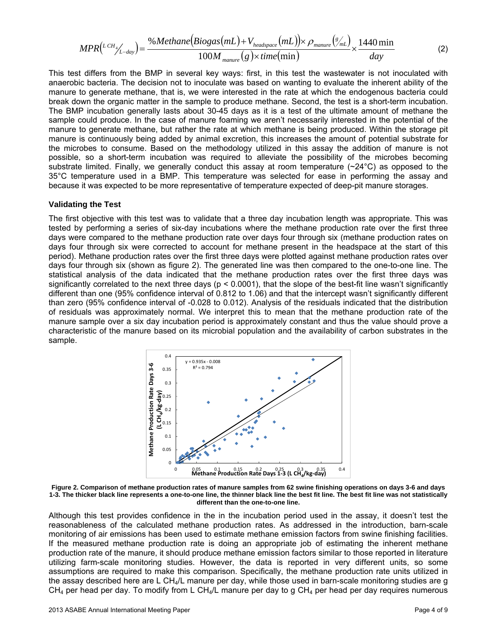$$
MPR\left(\text{L CH}_{4}\right) = \frac{\% Methane\left(Biogas(mL) + V_{headspace}\left(mL\right)\right) \times \rho_{manure}\left(\frac{g}{mL}\right)}{100M_{manure}\left(g\right) \times time(min)} \times \frac{1440\,\text{min}}{day} \tag{2}
$$

This test differs from the BMP in several key ways: first, in this test the wastewater is not inoculated with anaerobic bacteria. The decision not to inoculate was based on wanting to evaluate the inherent ability of the manure to generate methane, that is, we were interested in the rate at which the endogenous bacteria could break down the organic matter in the sample to produce methane. Second, the test is a short-term incubation. The BMP incubation generally lasts about 30-45 days as it is a test of the ultimate amount of methane the sample could produce. In the case of manure foaming we aren't necessarily interested in the potential of the manure to generate methane, but rather the rate at which methane is being produced. Within the storage pit manure is continuously being added by animal excretion, this increases the amount of potential substrate for the microbes to consume. Based on the methodology utilized in this assay the addition of manure is not possible, so a short-term incubation was required to alleviate the possibility of the microbes becoming substrate limited. Finally, we generally conduct this assay at room temperature (~24°C) as opposed to the 35°C temperature used in a BMP. This temperature was selected for ease in performing the assay and because it was expected to be more representative of temperature expected of deep-pit manure storages.

#### **Validating the Test**

The first objective with this test was to validate that a three day incubation length was appropriate. This was tested by performing a series of six-day incubations where the methane production rate over the first three days were compared to the methane production rate over days four through six (methane production rates on days four through six were corrected to account for methane present in the headspace at the start of this period). Methane production rates over the first three days were plotted against methane production rates over days four through six (shown as figure 2). The generated line was then compared to the one-to-one line. The statistical analysis of the data indicated that the methane production rates over the first three days was significantly correlated to the next three days ( $p < 0.0001$ ), that the slope of the best-fit line wasn't significantly different than one (95% confidence interval of 0.812 to 1.06) and that the intercept wasn't significantly different than zero (95% confidence interval of -0.028 to 0.012). Analysis of the residuals indicated that the distribution of residuals was approximately normal. We interpret this to mean that the methane production rate of the manure sample over a six day incubation period is approximately constant and thus the value should prove a characteristic of the manure based on its microbial population and the availability of carbon substrates in the sample.



**Figure 2. Comparison of methane production rates of manure samples from 62 swine finishing operations on days 3-6 and days 1-3. The thicker black line represents a one-to-one line, the thinner black line the best fit line. The best fit line was not statistically different than the one-to-one line.** 

Although this test provides confidence in the in the incubation period used in the assay, it doesn't test the reasonableness of the calculated methane production rates. As addressed in the introduction, barn-scale monitoring of air emissions has been used to estimate methane emission factors from swine finishing facilities. If the measured methane production rate is doing an appropriate job of estimating the inherent methane production rate of the manure, it should produce methane emission factors similar to those reported in literature utilizing farm-scale monitoring studies. However, the data is reported in very different units, so some assumptions are required to make this comparison. Specifically, the methane production rate units utilized in the assay described here are L CH4/L manure per day, while those used in barn-scale monitoring studies are g  $CH_4$  per head per day. To modify from L CH<sub>4</sub>/L manure per day to g CH<sub>4</sub> per head per day requires numerous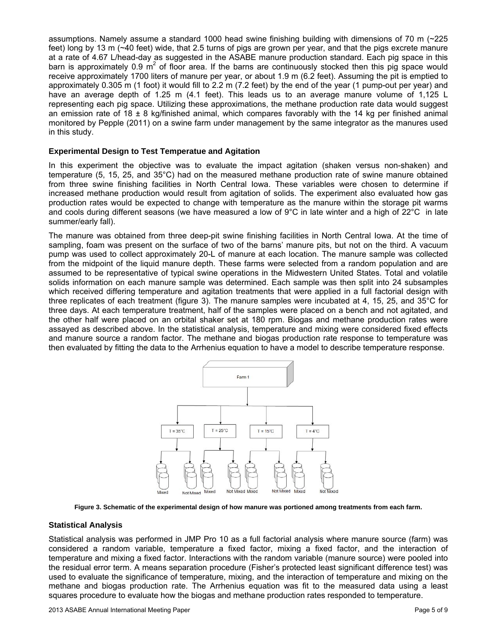assumptions. Namely assume a standard 1000 head swine finishing building with dimensions of 70 m (~225 feet) long by 13 m (~40 feet) wide, that 2.5 turns of pigs are grown per year, and that the pigs excrete manure at a rate of 4.67 L/head-day as suggested in the ASABE manure production standard. Each pig space in this barn is approximately 0.9  $m^2$  of floor area. If the barns are continuously stocked then this pig space would receive approximately 1700 liters of manure per year, or about 1.9 m (6.2 feet). Assuming the pit is emptied to approximately 0.305 m (1 foot) it would fill to 2.2 m (7.2 feet) by the end of the year (1 pump-out per year) and have an average depth of 1.25 m (4.1 feet). This leads us to an average manure volume of 1,125 L representing each pig space. Utilizing these approximations, the methane production rate data would suggest an emission rate of 18  $\pm$  8 kg/finished animal, which compares favorably with the 14 kg per finished animal monitored by Pepple (2011) on a swine farm under management by the same integrator as the manures used in this study.

#### **Experimental Design to Test Temperatue and Agitation**

In this experiment the objective was to evaluate the impact agitation (shaken versus non-shaken) and temperature (5, 15, 25, and 35°C) had on the measured methane production rate of swine manure obtained from three swine finishing facilities in North Central Iowa. These variables were chosen to determine if increased methane production would result from agitation of solids. The experiment also evaluated how gas production rates would be expected to change with temperature as the manure within the storage pit warms and cools during different seasons (we have measured a low of 9°C in late winter and a high of 22°C in late summer/early fall).

The manure was obtained from three deep-pit swine finishing facilities in North Central Iowa. At the time of sampling, foam was present on the surface of two of the barns' manure pits, but not on the third. A vacuum pump was used to collect approximately 20-L of manure at each location. The manure sample was collected from the midpoint of the liquid manure depth. These farms were selected from a random population and are assumed to be representative of typical swine operations in the Midwestern United States. Total and volatile solids information on each manure sample was determined. Each sample was then split into 24 subsamples which received differing temperature and agitation treatments that were applied in a full factorial design with three replicates of each treatment (figure 3). The manure samples were incubated at 4, 15, 25, and 35°C for three days. At each temperature treatment, half of the samples were placed on a bench and not agitated, and the other half were placed on an orbital shaker set at 180 rpm. Biogas and methane production rates were assayed as described above. In the statistical analysis, temperature and mixing were considered fixed effects and manure source a random factor. The methane and biogas production rate response to temperature was then evaluated by fitting the data to the Arrhenius equation to have a model to describe temperature response.



**Figure 3. Schematic of the experimental design of how manure was portioned among treatments from each farm.** 

#### **Statistical Analysis**

Statistical analysis was performed in JMP Pro 10 as a full factorial analysis where manure source (farm) was considered a random variable, temperature a fixed factor, mixing a fixed factor, and the interaction of temperature and mixing a fixed factor. Interactions with the random variable (manure source) were pooled into the residual error term. A means separation procedure (Fisher's protected least significant difference test) was used to evaluate the significance of temperature, mixing, and the interaction of temperature and mixing on the methane and biogas production rate. The Arrhenius equation was fit to the measured data using a least squares procedure to evaluate how the biogas and methane production rates responded to temperature.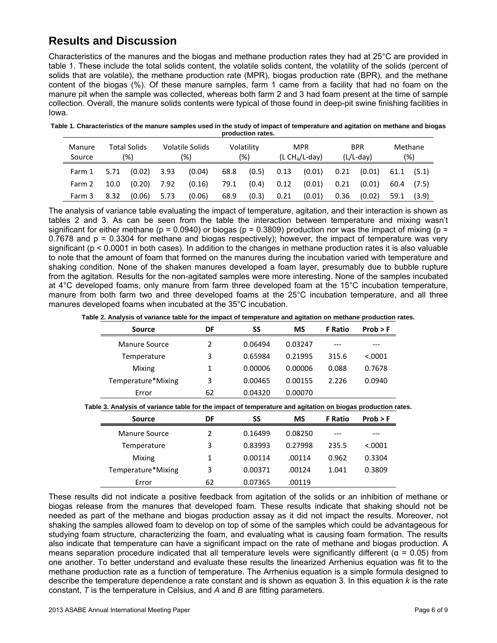# **Results and Discussion**

Characteristics of the manures and the biogas and methane production rates they had at 25°C are provided in table 1. These include the total solids content, the volatile solids content, the volatility of the solids (percent of solids that are volatile), the methane production rate (MPR), biogas production rate (BPR), and the methane content of the biogas (%). Of these manure samples, farm 1 came from a facility that had no foam on the manure pit when the sample was collected, whereas both farm 2 and 3 had foam present at the time of sample collection. Overall, the manure solids contents were typical of those found in deep-pit swine finishing facilities in Iowa.

**Table 1. Characteristics of the manure samples used in the study of impact of temperature and agitation on methane and biogas production rates.** 

| Manure<br>Source | Total Solids<br>(%) |        | Volatile Solids<br>(%) |        | Volatility<br>(%) |       | <b>MPR</b><br>(L CH4/L-day) |        | <b>BPR</b><br>$(L/L-dav)$ |        | Methane<br>(%) |       |
|------------------|---------------------|--------|------------------------|--------|-------------------|-------|-----------------------------|--------|---------------------------|--------|----------------|-------|
| Farm 1           | 5.71                | (0.02) | 3.93                   | (0.04) | 68.8              | (0.5) | 0.13                        | (0.01) | 0.21                      | (0.01) | 61.1           | (5.1) |
| Farm 2           | 10.0                | (0.20) | 7.92                   | (0.16) | 79.1              | (0.4) | 0.12                        | (0.01) | 0.21                      | (0.01) | 60.4           | (7.5) |
| Farm 3           | 8.32                | (0.06) | 5.73                   | (0.06) | 68.9              | (0.3) | 0.21                        | (0.01) | 0.36                      | (0.02) | 59.1           | (3.9) |

The analysis of variance table evaluating the impact of temperature, agitation, and their interaction is shown as tables 2 and 3. As can be seen from the table the interaction between temperature and mixing wasn't significant for either methane ( $p = 0.0940$ ) or biogas ( $p = 0.3809$ ) production nor was the impact of mixing ( $p =$ 0.7678 and p = 0.3304 for methane and biogas respectively); however, the impact of temperature was very significant (p < 0.0001 in both cases). In addition to the changes in methane production rates it is also valuable to note that the amount of foam that formed on the manures during the incubation varied with temperature and shaking condition. None of the shaken manures developed a foam layer, presumably due to bubble rupture from the agitation. Results for the non-agitated samples were more interesting. None of the samples incubated at 4°C developed foams, only manure from farm three developed foam at the 15°C incubation temperature, manure from both farm two and three developed foams at the 25°C incubation temperature, and all three manures developed foams when incubated at the 35°C incubation.

**Table 2. Analysis of variance table for the impact of temperature and agitation on methane production rates.** 

| Source             | DF | SS      | <b>MS</b> | <b>F</b> Ratio | Prob > F |
|--------------------|----|---------|-----------|----------------|----------|
| Manure Source      |    | 0.06494 | 0.03247   | ---            |          |
| Temperature        | 3  | 0.65984 | 0.21995   | 315.6          | < 0.0001 |
| Mixing             | 1  | 0.00006 | 0.00006   | 0.088          | 0.7678   |
| Temperature*Mixing | 3  | 0.00465 | 0.00155   | 2.226          | 0.0940   |
| Error              | 62 | 0.04320 | 0.00070   |                |          |

| Source             | DF | SS      | МS      | <b>F</b> Ratio | Prob > F |
|--------------------|----|---------|---------|----------------|----------|
| Manure Source      | 2  | 0.16499 | 0.08250 |                |          |
| Temperature        | 3  | 0.83993 | 0.27998 | 235.5          | < .0001  |
| Mixing             |    | 0.00114 | .00114  | 0.962          | 0.3304   |
| Temperature*Mixing | 3  | 0.00371 | .00124  | 1.041          | 0.3809   |
| Error              | 62 | 0.07365 | .00119  |                |          |

These results did not indicate a positive feedback from agitation of the solids or an inhibition of methane or biogas release from the manures that developed foam. These results indicate that shaking should not be needed as part of the methane and biogas production assay as it did not impact the results. Moreover, not shaking the samples allowed foam to develop on top of some of the samples which could be advantageous for studying foam structure, characterizing the foam, and evaluating what is causing foam formation. The results also indicate that temperature can have a significant impact on the rate of methane and biogas production. A means separation procedure indicated that all temperature levels were significantly different ( $\alpha$  = 0.05) from one another. To better understand and evaluate these results the linearized Arrhenius equation was fit to the methane production rate as a function of temperature. The Arrhenius equation is a simple formula designed to describe the temperature dependence a rate constant and is shown as equation 3. In this equation *k* is the rate constant, *T* is the temperature in Celsius, and *A* and *B* are fitting parameters.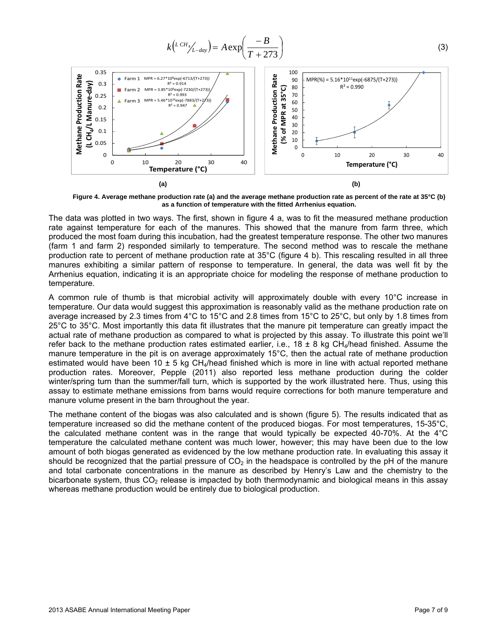$$
k\left(\substack{L \text{CH}_4\\-d\text{ay}}\right) = A \exp\left(\frac{-B}{T + 273}\right) \tag{3}
$$



**Figure 4. Average methane production rate (a) and the average methane production rate as percent of the rate at 35°C (b) as a function of temperature with the fitted Arrhenius equation.** 

The data was plotted in two ways. The first, shown in figure 4 a, was to fit the measured methane production rate against temperature for each of the manures. This showed that the manure from farm three, which produced the most foam during this incubation, had the greatest temperature response. The other two manures (farm 1 and farm 2) responded similarly to temperature. The second method was to rescale the methane production rate to percent of methane production rate at 35°C (figure 4 b). This rescaling resulted in all three manures exhibiting a similar pattern of response to temperature. In general, the data was well fit by the Arrhenius equation, indicating it is an appropriate choice for modeling the response of methane production to temperature.

A common rule of thumb is that microbial activity will approximately double with every 10°C increase in temperature. Our data would suggest this approximation is reasonably valid as the methane production rate on average increased by 2.3 times from 4°C to 15°C and 2.8 times from 15°C to 25°C, but only by 1.8 times from 25°C to 35°C. Most importantly this data fit illustrates that the manure pit temperature can greatly impact the actual rate of methane production as compared to what is projected by this assay. To illustrate this point we'll refer back to the methane production rates estimated earlier, i.e., 18  $\pm$  8 kg CH<sub>4</sub>/head finished. Assume the manure temperature in the pit is on average approximately 15°C, then the actual rate of methane production estimated would have been 10  $\pm$  5 kg CH<sub>4</sub>/head finished which is more in line with actual reported methane production rates. Moreover, Pepple (2011) also reported less methane production during the colder winter/spring turn than the summer/fall turn, which is supported by the work illustrated here. Thus, using this assay to estimate methane emissions from barns would require corrections for both manure temperature and manure volume present in the barn throughout the year.

The methane content of the biogas was also calculated and is shown (figure 5). The results indicated that as temperature increased so did the methane content of the produced biogas. For most temperatures, 15-35°C, the calculated methane content was in the range that would typically be expected 40-70%. At the 4°C temperature the calculated methane content was much lower, however; this may have been due to the low amount of both biogas generated as evidenced by the low methane production rate. In evaluating this assay it should be recognized that the partial pressure of  $CO<sub>2</sub>$  in the headspace is controlled by the pH of the manure and total carbonate concentrations in the manure as described by Henry's Law and the chemistry to the bicarbonate system, thus CO<sub>2</sub> release is impacted by both thermodynamic and biological means in this assay whereas methane production would be entirely due to biological production.